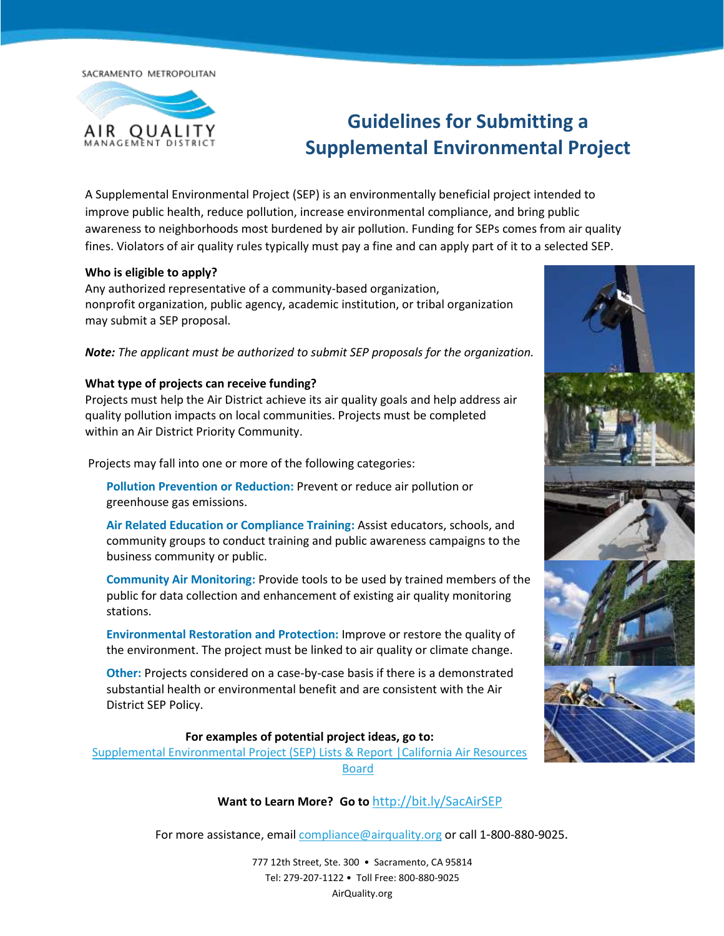SACRAMENTO METROPOLITAN



# **Guidelines for Submitting a Supplemental Environmental Project**

A Supplemental Environmental Project (SEP) is an environmentally beneficial project intended to improve public health, reduce pollution, increase environmental compliance, and bring public awareness to neighborhoods most burdened by air pollution. Funding for SEPs comes from air quality fines. Violators of air quality rules typically must pay a fine and can apply part of it to a selected SEP.

#### **Who is eligible to apply?**

Any authorized representative of a community-based organization, nonprofit organization, public agency, academic institution, or tribal organization may submit a SEP proposal.

*Note: The applicant must be authorized to submit SEP proposals for the organization.*

#### **What type of projects can receive funding?**

Projects must help the Air District achieve its air quality goals and help address air quality pollution impacts on local communities. Projects must be completed within an Air District Priority Community.

Projects may fall into one or more of the following categories:

**Pollution Prevention or Reduction:** Prevent or reduce air pollution or greenhouse gas emissions.

**Air Related Education or Compliance Training:** Assist educators, schools, and community groups to conduct training and public awareness campaigns to the business community or public.

**Community Air Monitoring:** Provide tools to be used by trained members of the public for data collection and enhancement of existing air quality monitoring stations.

**Environmental Restoration and Protection:** Improve or restore the quality of the environment. The project must be linked to air quality or climate change.

**Other:** Projects considered on a case-by-case basis if there is a demonstrated substantial health or environmental benefit and are consistent with the Air District SEP Policy.

### **For examples of potential project ideas, go to:**

[Supplemental Environmental Project \(SEP\) Lists & Report |California Air Resources](https://ww2.arb.ca.gov/our-work/programs/supplemental-environmental-projects-seps/supplemental-environmental-project-sep-1)  [Board](https://ww2.arb.ca.gov/our-work/programs/supplemental-environmental-projects-seps/supplemental-environmental-project-sep-1)

**Want to Learn More? Go to** <http://bit.ly/SacAirSEP>

For more assistance, email [compliance@airquality.org](mailto:compliance@airquality.org) or call 1-800-880-9025.



777 12th Street, Ste. 300 • Sacramento, CA 95814 Tel: 279-207-1122 • Toll Free: 800-880-9025 AirQuality.org